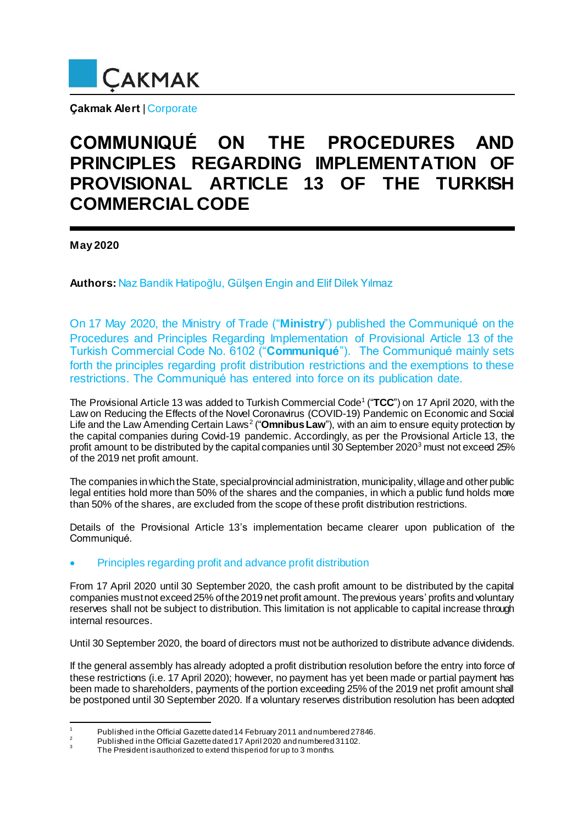

**Çakmak Alert** | Corporate

# **COMMUNIQUÉ ON THE PROCEDURES AND PRINCIPLES REGARDING IMPLEMENTATION OF PROVISIONAL ARTICLE 13 OF THE TURKISH COMMERCIAL CODE**

**May 2020**

**Authors:** Naz Bandik Hatipoğlu, Gülşen Engin and Elif Dilek Yılmaz

On 17 May 2020, the Ministry of Trade ("**Ministry**") published the Communiqué on the Procedures and Principles Regarding Implementation of Provisional Article 13 of the Turkish Commercial Code No. 6102 ("**Communiqué**"). The Communiqué mainly sets forth the principles regarding profit distribution restrictions and the exemptions to these restrictions. The Communiqué has entered into force on its publication date.

The Provisional Article 13 was added to Turkish Commercial Code<sup>1</sup> ("TCC") on 17 April 2020, with the Law on Reducing the Effects of the Novel Coronavirus (COVID-19) Pandemic on Economic and Social Life and the Law Amending Certain Laws<sup>2</sup> ("**Omnibus Law**"), with an aim to ensure equity protection by the capital companies during Covid-19 pandemic. Accordingly, as per the Provisional Article 13, the profit amount to be distributed by the capital companies until 30 September 2020<sup>3</sup> must not exceed 25% of the 2019 net profit amount.

The companies in which the State, special provincial administration, municipality, village and other public legal entities hold more than 50% of the shares and the companies, in which a public fund holds more than 50% of the shares, are excluded from the scope of these profit distribution restrictions.

Details of the Provisional Article 13's implementation became clearer upon publication of the Communiqué.

# Principles regarding profit and advance profit distribution

From 17 April 2020 until 30 September 2020, the cash profit amount to be distributed by the capital companies must not exceed 25% of the 2019 net profit amount. The previous years' profits and voluntary reserves shall not be subject to distribution. This limitation is not applicable to capital increase through internal resources.

Until 30 September 2020, the board of directors must not be authorized to distribute advance dividends.

If the general assembly has already adopted a profit distribution resolution before the entry into force of these restrictions (i.e. 17 April 2020); however, no payment has yet been made or partial payment has been made to shareholders, payments of the portion exceeding 25% of the 2019 net profit amount shall be postponed until 30 September 2020. If a voluntary reserves distribution resolution has been adopted

 $\overline{1}$ <sup>1</sup> Published in the Official Gazette dated 14 February 2011 and numbered 27846.

<sup>2</sup> Published in the Official Gazette dated 17 April 2020 and numbered 31102. 3

The President is authorized to extend this period for up to 3 months.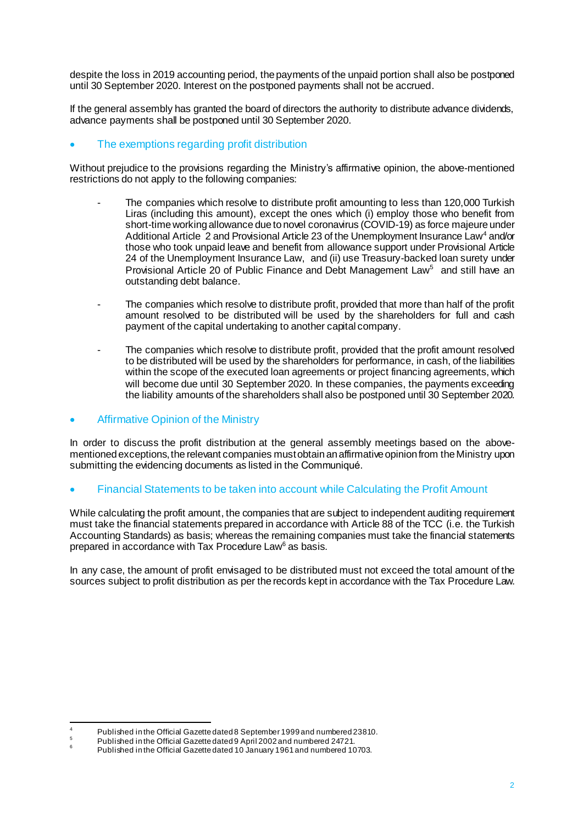despite the loss in 2019 accounting period, the payments of the unpaid portion shall also be postponed until 30 September 2020. Interest on the postponed payments shall not be accrued.

If the general assembly has granted the board of directors the authority to distribute advance dividends, advance payments shall be postponed until 30 September 2020.

## The exemptions regarding profit distribution

Without prejudice to the provisions regarding the Ministry's affirmative opinion, the above-mentioned restrictions do not apply to the following companies:

- The companies which resolve to distribute profit amounting to less than 120,000 Turkish Liras (including this amount), except the ones which (i) employ those who benefit from short-time workingallowance due to novel coronavirus (COVID-19) as force majeure under Additional Article 2 and Provisional Article 23 of the Unemployment Insurance Law<sup>4</sup> and/or those who took unpaid leave and benefit from allowance support under Provisional Article 24 of the Unemployment Insurance Law, and (ii) use Treasury-backed loan surety under Provisional Article 20 of Public Finance and Debt Management Law<sup>5</sup> and still have an outstanding debt balance.
- The companies which resolve to distribute profit, provided that more than half of the profit amount resolved to be distributed will be used by the shareholders for full and cash payment of the capital undertaking to another capital company.
- The companies which resolve to distribute profit, provided that the profit amount resolved to be distributed will be used by the shareholders for performance, in cash, of the liabilities within the scope of the executed loan agreements or project financing agreements, which will become due until 30 September 2020. In these companies, the payments exceeding the liability amounts of the shareholders shall also be postponed until 30 September 2020.

### Affirmative Opinion of the Ministry

In order to discuss the profit distribution at the general assembly meetings based on the abovementioned exceptions, the relevant companies must obtain an affirmative opinion from the Ministry upon submitting the evidencing documents as listed in the Communiqué.

Financial Statements to be taken into account while Calculating the Profit Amount

While calculating the profit amount, the companies that are subject to independent auditing requirement must take the financial statements prepared in accordance with Article 88 of the TCC (i.e. the Turkish Accounting Standards) as basis; whereas the remaining companies must take the financial statements prepared in accordance with Tax Procedure Law<sup>6</sup> as basis.

In any case, the amount of profit envisaged to be distributed must not exceed the total amount of the sources subject to profit distribution as per the records kept in accordance with the Tax Procedure Law.

 $\overline{\phantom{a}}$ <sup>4</sup> Published in the Official Gazette dated 8 September 1999 and numbered 23810.

<sup>5</sup> Published in the Official Gazette dated 9 April 2002 and numbered 24721.

<sup>6</sup> Published in the Official Gazette dated 10 January 1961 and numbered 10703.